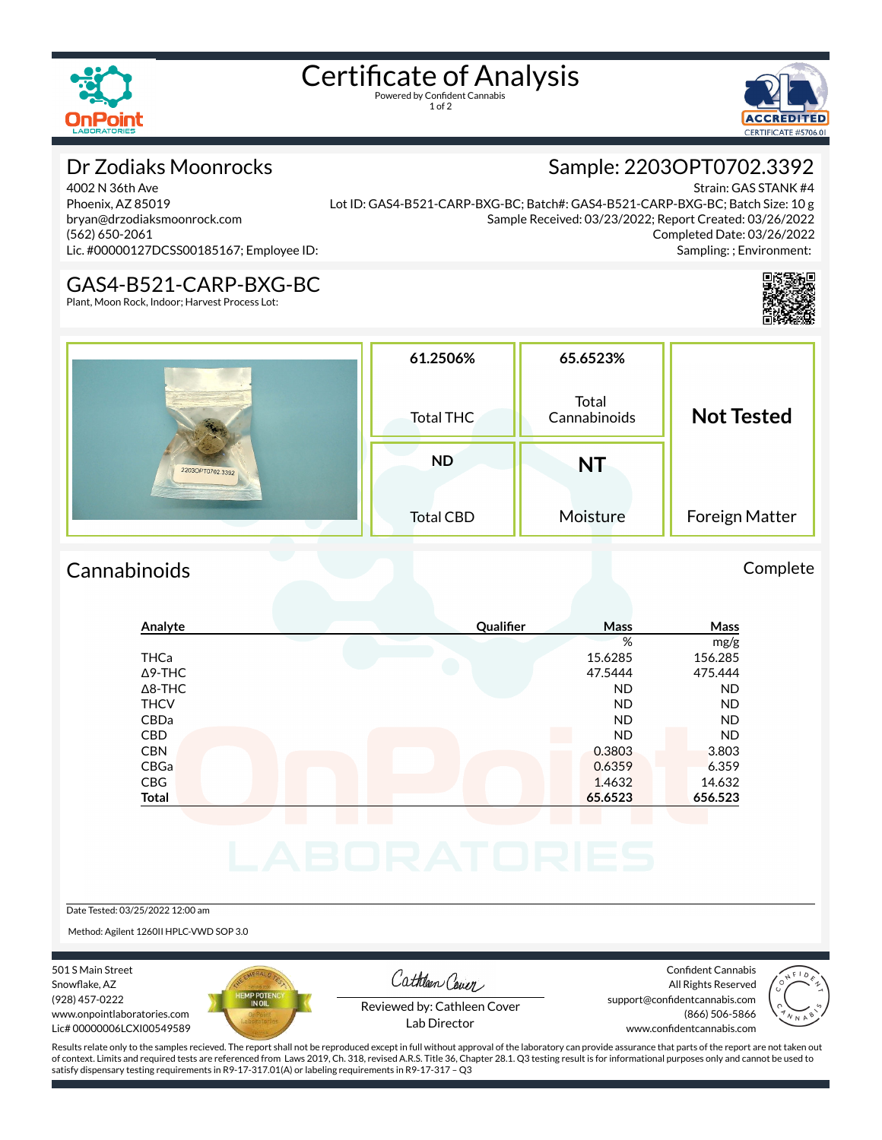

# Certificate of Analysis

1 of 2



## Dr Zodiaks Moonrocks

4002 N 36th Ave Phoenix, AZ 85019 bryan@drzodiaksmoonrock.com (562) 650-2061 Lic. #00000127DCSS00185167; Employee ID:

Strain: GAS STANK #4 Lot ID: GAS4-B521-CARP-BXG-BC; Batch#: GAS4-B521-CARP-BXG-BC; Batch Size: 10 g Sample Received: 03/23/2022; Report Created: 03/26/2022 Completed Date: 03/26/2022 Sampling: ; Environment:

Sample: 2203OPT0702.3392

### GAS4-B521-CARP-BXG-BC

Plant, Moon Rock, Indoor; Harvest Process Lot:



| 2203OPT0702.3392 | 61.2506%<br>Total THC         | 65.6523%<br>Total<br>Cannabinoids | <b>Not Tested</b> |
|------------------|-------------------------------|-----------------------------------|-------------------|
|                  | <b>ND</b><br><b>Total CBD</b> | <b>NT</b><br>Moisture             | Foreign Matter    |

## Cannabinoids Complete

## **Analyte Qualier Mass Mass** % mg/g THCa 15.6285 156.285 Δ9-THC 47.5444 475.444 Δ8-THC ND ND THCV ND ND CBDa ND ND CBD A RESIDENCE OF A RESIDENCE OF A RESIDENCE OF A RESIDENCE OF A RESIDENCE OF A RESIDENCE OF A RESIDENCE OF A CBN 0.3803 3.803 CBGa 0.6359 6.359 CBG 14.632 14.632 **Total 65.6523 656.523**

#### Date Tested: 03/25/2022 12:00 am

Method: Agilent 1260II HPLC-VWD SOP 3.0

501 S Main Street Snowflake, AZ (928) 457-0222 www.onpointlaboratories.com Lic# 00000006LCXI00549589



Cathleen Cover

Confident Cannabis All Rights Reserved support@confidentcannabis.com (866) 506-5866



Reviewed by: Cathleen Cover Lab Director

www.confidentcannabis.com

Results relate only to the samples recieved. The report shall not be reproduced except in full without approval of the laboratory can provide assurance that parts of the report are not taken out of context. Limits and required tests are referenced from Laws 2019, Ch. 318, revised A.R.S. Title 36, Chapter 28.1. Q3 testing result is for informational purposes only and cannot be used to satisfy dispensary testing requirements in R9-17-317.01(A) or labeling requirements in R9-17-317 – Q3